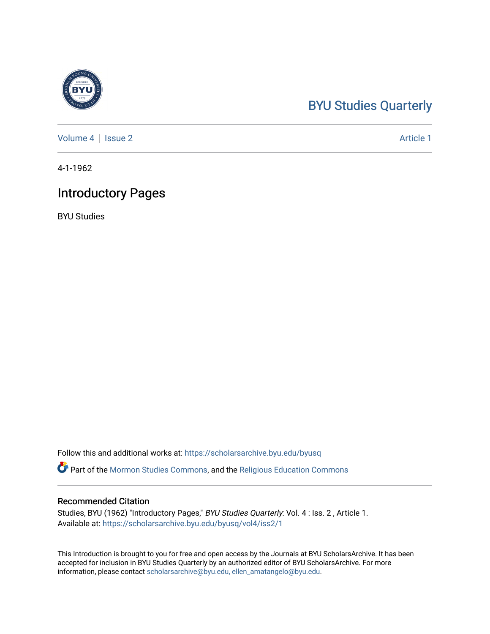#### [BYU Studies Quarterly](https://scholarsarchive.byu.edu/byusq)

[Volume 4](https://scholarsarchive.byu.edu/byusq/vol4) | [Issue 2](https://scholarsarchive.byu.edu/byusq/vol4/iss2) Article 1

4-1-1962

#### Introductory Pages

BYU Studies

Follow this and additional works at: [https://scholarsarchive.byu.edu/byusq](https://scholarsarchive.byu.edu/byusq?utm_source=scholarsarchive.byu.edu%2Fbyusq%2Fvol4%2Fiss2%2F1&utm_medium=PDF&utm_campaign=PDFCoverPages) 

Part of the [Mormon Studies Commons](http://network.bepress.com/hgg/discipline/1360?utm_source=scholarsarchive.byu.edu%2Fbyusq%2Fvol4%2Fiss2%2F1&utm_medium=PDF&utm_campaign=PDFCoverPages), and the [Religious Education Commons](http://network.bepress.com/hgg/discipline/1414?utm_source=scholarsarchive.byu.edu%2Fbyusq%2Fvol4%2Fiss2%2F1&utm_medium=PDF&utm_campaign=PDFCoverPages) 

#### Recommended Citation

Studies, BYU (1962) "Introductory Pages," BYU Studies Quarterly: Vol. 4 : Iss. 2 , Article 1. Available at: [https://scholarsarchive.byu.edu/byusq/vol4/iss2/1](https://scholarsarchive.byu.edu/byusq/vol4/iss2/1?utm_source=scholarsarchive.byu.edu%2Fbyusq%2Fvol4%2Fiss2%2F1&utm_medium=PDF&utm_campaign=PDFCoverPages) 

This Introduction is brought to you for free and open access by the Journals at BYU ScholarsArchive. It has been accepted for inclusion in BYU Studies Quarterly by an authorized editor of BYU ScholarsArchive. For more information, please contact [scholarsarchive@byu.edu, ellen\\_amatangelo@byu.edu.](mailto:scholarsarchive@byu.edu,%20ellen_amatangelo@byu.edu)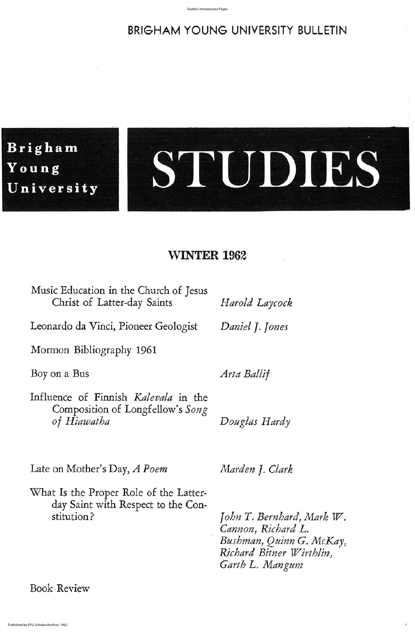# BRIGHAM YOUNG university BULLETIN



# SJE UDJUS

# WINTER 1962

Music Education in the Church of Jesus Christ of Latter-day Saints Harold Laycock

Leonardo da Vinci, Pioneer Geologist Daniel J. Jones

Mormon Bibliography 1961

Boy on a Bus Arta Ballif

Influence of Finnish Kalevala in the Composition of Longfellow's Song of Hiawatha  $Douglas$  Hardy

Late on Mother's Day, A Poem Marden J. Clark

What Is the Proper Role of the Latterday Saint with Respect to the Constitution? John T. Bernhard, Mark W.

Cannon, Richard L. Bushman, Quinn G. McKay, Richard Bitner Wirthlin, Garth L. Mangum

1

Book Review

Studies: Introductory Pages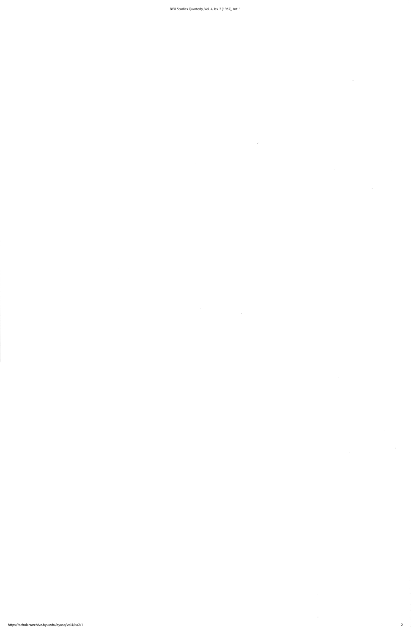2

 $\epsilon$ 

 $\sim 10^{-11}$ 

 $\sim 10^{11}$  m  $^{-1}$ 

 $\sim$ 

 $\sim$ 

 $\bar{\gamma}$ 

BYU Studies Quarterly, Vol. 4, Iss. 2 [1962], Art. 1

 $\sim 10^{-10}$ 

 $\sim$ 

 $\mathcal{A}$ 

https://scholarsarchive.byu.edu/byusq/vol4/iss2/1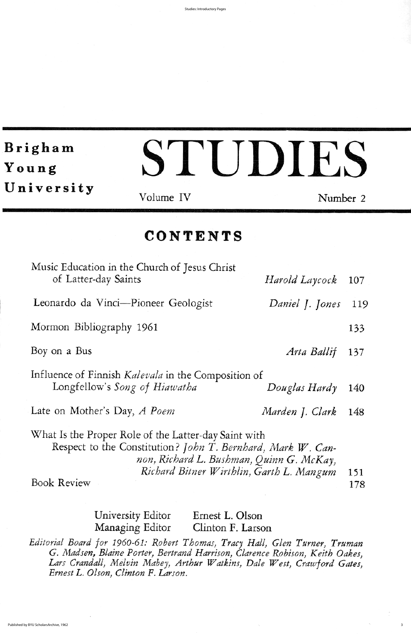

# CONTENTS

Music Education in the Church of Jesus Christ of Latter-day Saints harold Laycock 107

Leonardo da Vinci-Pioneer Geologist Daniel J. Jones 119

3

| Mormon Bibliography 1961 | 133 |
|--------------------------|-----|
|--------------------------|-----|

Boy on a Bus Arta Ballif 137

Influence of Finnish Kalevala in the Composition of Longfellow's Song of Hiawatha Douglas Hardy 140

Late on Mother's Day, A Poem Marden J. Clark 148

What Is the Proper Role of the Latter-day Saint with Respect to the Constitution? John T. Bernhard, Mark  $W$ . Cannon, Richard L. Bushman, Quinn G. McKay, Richard Bitner Wirthlin, Garth L. Mangum 151 Book Review 178

> University Editor Ernest L. Olson Managing Editor Clinton F. Larson

Editorial Board for 1960-61: Robert Thomas, Tracy Hall, Glen Turner, Truman G. Madsen, Blaine Porter, Bertrand Harrison, Clarence Robison, Keith Oakes, Lars Crandall, Melvin Mabey, Arthur Watkins, Dale West, Crawford Gates, Ernest L. Olson, Clinton F. Larson.